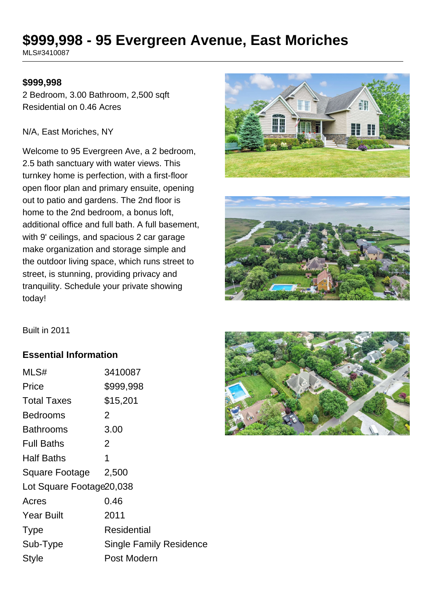# **\$999,998 - 95 Evergreen Avenue, East Moriches**

MLS#3410087

#### **\$999,998**

2 Bedroom, 3.00 Bathroom, 2,500 sqft Residential on 0.46 Acres

#### N/A, East Moriches, NY

Welcome to 95 Evergreen Ave, a 2 bedroom, 2.5 bath sanctuary with water views. This turnkey home is perfection, with a first-floor open floor plan and primary ensuite, opening out to patio and gardens. The 2nd floor is home to the 2nd bedroom, a bonus loft, additional office and full bath. A full basement, with 9' ceilings, and spacious 2 car garage make organization and storage simple and the outdoor living space, which runs street to street, is stunning, providing privacy and tranquility. Schedule your private showing today!





Built in 2011

#### **Essential Information**

| MLS#                      | 3410087                        |
|---------------------------|--------------------------------|
| Price                     | \$999,998                      |
| <b>Total Taxes</b>        | \$15,201                       |
| Bedrooms                  | 2                              |
| <b>Bathrooms</b>          | 3.00                           |
| <b>Full Baths</b>         | 2                              |
| <b>Half Baths</b>         | 1                              |
| Square Footage            | 2,500                          |
| Lot Square Footage 20,038 |                                |
| Acres                     | 0.46                           |
| <b>Year Built</b>         | 2011                           |
| <b>Type</b>               | Residential                    |
| Sub-Type                  | <b>Single Family Residence</b> |
| <b>Style</b>              | Post Modern                    |

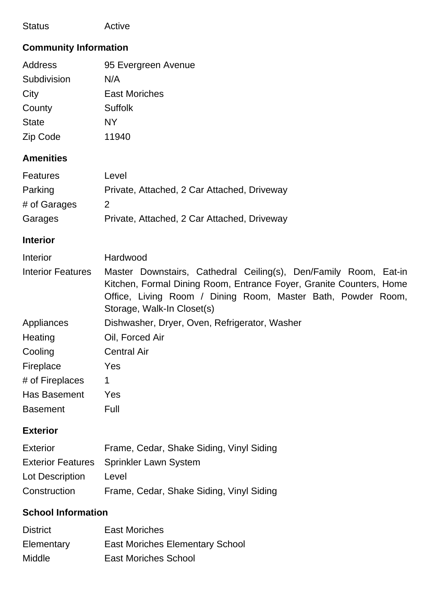| <b>Status</b> | Active |
|---------------|--------|
|---------------|--------|

# **Community Information**

| Address      | 95 Evergreen Avenue  |
|--------------|----------------------|
| Subdivision  | N/A                  |
| City         | <b>East Moriches</b> |
| County       | <b>Suffolk</b>       |
| <b>State</b> | NY                   |
| Zip Code     | 11940                |

## **Amenities**

| Features     | Level                                       |
|--------------|---------------------------------------------|
| Parking      | Private, Attached, 2 Car Attached, Driveway |
| # of Garages |                                             |
| Garages      | Private, Attached, 2 Car Attached, Driveway |

#### **Interior**

| Interior                 | Hardwood                                                                                                                                |  |
|--------------------------|-----------------------------------------------------------------------------------------------------------------------------------------|--|
| <b>Interior Features</b> | Master Downstairs, Cathedral Ceiling(s), Den/Family Room, Eat-in<br>Kitchen, Formal Dining Room, Entrance Foyer, Granite Counters, Home |  |
|                          | Office, Living Room / Dining Room, Master Bath, Powder Room,<br>Storage, Walk-In Closet(s)                                              |  |
| Appliances               | Dishwasher, Dryer, Oven, Refrigerator, Washer                                                                                           |  |
| Heating                  | Oil, Forced Air                                                                                                                         |  |
| Cooling                  | <b>Central Air</b>                                                                                                                      |  |
| Fireplace                | Yes                                                                                                                                     |  |
| # of Fireplaces          | 1                                                                                                                                       |  |
| Has Basement             | Yes                                                                                                                                     |  |
| <b>Basement</b>          | Full                                                                                                                                    |  |

#### **Exterior**

| Exterior               | Frame, Cedar, Shake Siding, Vinyl Siding |
|------------------------|------------------------------------------|
|                        | Exterior Features Sprinkler Lawn System  |
| <b>Lot Description</b> | Level                                    |
| Construction           | Frame, Cedar, Shake Siding, Vinyl Siding |

## **School Information**

| <b>District</b> | <b>East Moriches</b>                   |
|-----------------|----------------------------------------|
| Elementary      | <b>East Moriches Elementary School</b> |
| Middle          | <b>East Moriches School</b>            |